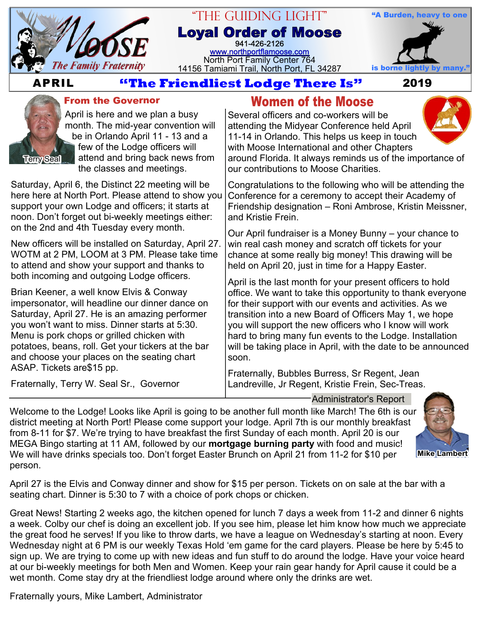

# "The Guiding Light"

**Loyal Order of Moose** 941-426-2126 [www.northportflamoose.com](http://www.northportflamoose.com) North Port Family Center 764 14156 Tamiami Trail, North Port, FL 34287 is borne li

and Kristie Frein.



# **APRIL 2019**



### **From the Governor**

April is here and we plan a busy month. The mid-year convention will be in Orlando April 11 - 13 and a few of the Lodge officers will attend and bring back news from the classes and meetings.

Saturday, April 6, the Distinct 22 meeting will be here here at North Port. Please attend to show you support your own Lodge and officers; it starts at noon. Don't forget out bi-weekly meetings either: on the 2nd and 4th Tuesday every month.

New officers will be installed on Saturday, April 27. WOTM at 2 PM, LOOM at 3 PM. Please take time to attend and show your support and thanks to both incoming and outgoing Lodge officers.

Brian Keener, a well know Elvis & Conway impersonator, will headline our dinner dance on Saturday, April 27. He is an amazing performer you won't want to miss. Dinner starts at 5:30. Menu is pork chops or grilled chicken with potatoes, beans, roll. Get your tickers at the bar and choose your places on the seating chart ASAP. Tickets are\$15 pp.

Fraternally, Terry W. Seal Sr., Governor

## **Women of the Moose**

Several officers and co-workers will be attending the Midyear Conference held April 11-14 in Orlando. This helps us keep in touch with Moose International and other Chapters around Florida. It always reminds us of the importance of

our contributions to Moose Charities. Congratulations to the following who will be attending the Conference for a ceremony to accept their Academy of Friendship designation – Roni Ambrose, Kristin Meissner,

Our April fundraiser is a Money Bunny – your chance to win real cash money and scratch off tickets for your chance at some really big money! This drawing will be held on April 20, just in time for a Happy Easter.

April is the last month for your present officers to hold office. We want to take this opportunity to thank everyone for their support with our events and activities. As we transition into a new Board of Officers May 1, we hope you will support the new officers who I know will work hard to bring many fun events to the Lodge. Installation will be taking place in April, with the date to be announced soon.

Fraternally, Bubbles Burress, Sr Regent, Jean Landreville, Jr Regent, Kristie Frein, Sec-Treas.

Welcome to the Lodge! Looks like April is going to be another full month like March! The 6th is our district meeting at North Port! Please come support your lodge. April 7th is our monthly breakfast from 8-11 for \$7. We're trying to have breakfast the first Sunday of each month. April 20 is our MEGA Bingo starting at 11 AM, followed by our **mortgage burning party** with food and music! We will have drinks specials too. Don't forget Easter Brunch on April 21 from 11-2 for \$10 per person. Administrator's Report



**Mike Lambert**

April 27 is the Elvis and Conway dinner and show for \$15 per person. Tickets on on sale at the bar with a seating chart. Dinner is 5:30 to 7 with a choice of pork chops or chicken.

Great News! Starting 2 weeks ago, the kitchen opened for lunch 7 days a week from 11-2 and dinner 6 nights a week. Colby our chef is doing an excellent job. If you see him, please let him know how much we appreciate the great food he serves! If you like to throw darts, we have a league on Wednesday's starting at noon. Every Wednesday night at 6 PM is our weekly Texas Hold 'em game for the card players. Please be here by 5:45 to sign up. We are trying to come up with new ideas and fun stuff to do around the lodge. Have your voice heard at our bi-weekly meetings for both Men and Women. Keep your rain gear handy for April cause it could be a wet month. Come stay dry at the friendliest lodge around where only the drinks are wet.

Fraternally yours, Mike Lambert, Administrator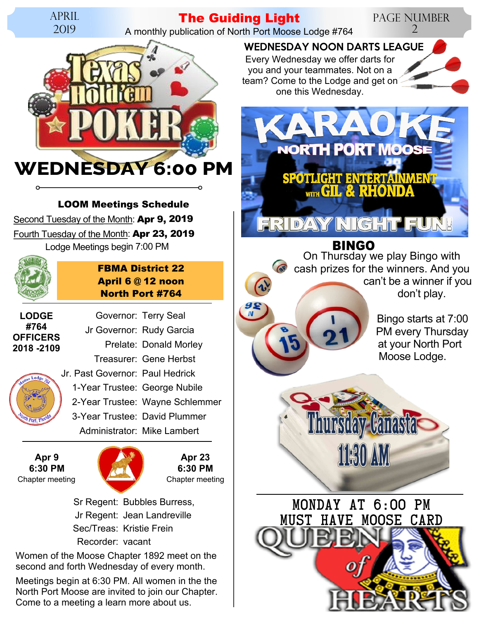

## **The Guiding Light**

A monthly publication of North Port Moose Lodge #764

 $\frac{98}{N}$ 



#### **LOOM Meetings Schedule**

Second Tuesday of the Month: **Apr 9, 2019** Fourth Tuesday of the Month: **Apr 23, 2019** Lodge Meetings begin 7:00 PM



### **FBMA District 22 April 6 @ 12 noon North Port #764**

Governor: Terry Seal Jr Governor: Rudy Garcia

**LODGE #764 OFFICERS 2018 -2109**



Prelate: Donald Morley Treasurer: Gene Herbst Jr. Past Governor: Paul Hedrick 1-Year Trustee: George Nubile 2-Year Trustee: Wayne Schlemmer 3-Year Trustee: David Plummer Administrator: Mike Lambert

**Apr 9 6:30 PM** Chapter meeting Chapter meeting



**Apr 23 6:30 PM**

 Sr Regent: Bubbles Burress, Jr Regent: Jean Landreville Sec/Treas: Kristie Frein Recorder: vacant

Women of the Moose Chapter 1892 meet on the second and forth Wednesday of every month.

Meetings begin at 6:30 PM. All women in the the North Port Moose are invited to join our Chapter. Come to a meeting a learn more about us.

Every Wednesday we offer darts for you and your teammates. Not on a WEDNESDAY NOON DARTS LEAGUE

team? Come to the Lodge and get on one this Wednesday.



#### ERIDYANY IN GHT

**BINGO** On Thursday we play Bingo with cash prizes for the winners. And you can't be a winner if you don't play.

> Bingo starts at 7:00 PM every Thursday at your North Port Moose Lodge.

Page Number

2